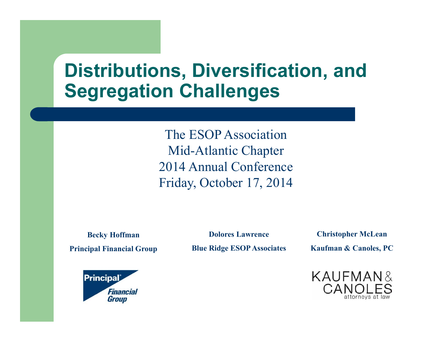#### **Distributions, Diversification, and Segregation Challenges**

The ESOP AssociationMid-Atlantic Chapter 2014 Annual ConferenceFriday, October 17, 2014

**Becky Hoffman Principal Financial Group**

**Dolores LawrenceBlue Ridge ESOP Associates**

**Christopher McLean Kaufman & Canoles, PC**



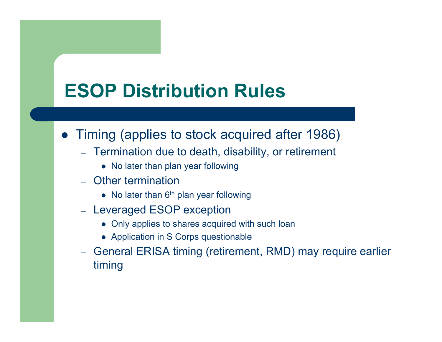### **ESOP Distribution Rules**

- Timing (applies to stock acquired after 1986)
	- Termination due to death, disability, or retirement
		- No later than plan year following
	- – Other termination
		- $\bullet$  No later than 6<sup>th</sup> plan year following
	- Leveraged ESOP exception
		- Only applies to shares acquired with such loan
		- Application in S Corps questionable
	- – General ERISA timing (retirement, RMD) may require earlier timing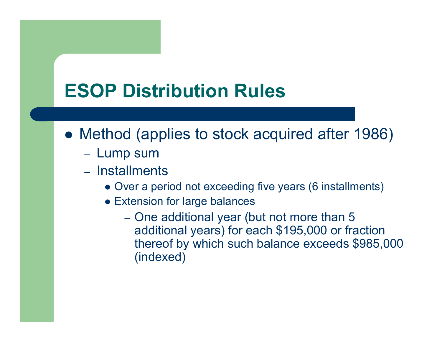### **ESOP Distribution Rules**

- Method (applies to stock acquired after 1986)
	- Lump sum
	- Installments
		- Over a period not exceeding five years (6 installments)
		- Extension for large balances
			- – One additional year (but not more than 5 additional years) for each \$195,000 or fraction thereof by which such balance exceeds \$985,000 (indexed)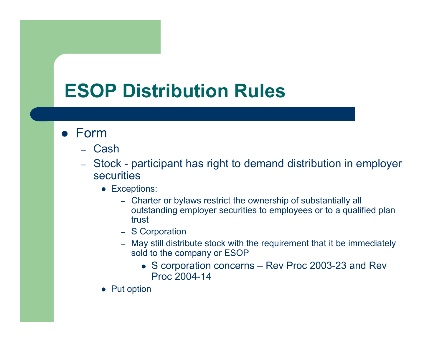### **ESOP Distribution Rules**

#### Form

- Cash
- – Stock - participant has right to demand distribution in employer securities
	- Exceptions:
		- Charter or bylaws restrict the ownership of substantially all outstanding employer securities to employees or to a qualified plan trust
		- S Corporation
		- May still distribute stock with the requirement that it be immediately sold to the company or ESOP
			- S corporation concerns Rev Proc 2003-23 and Rev Proc 2004-14
	- Put option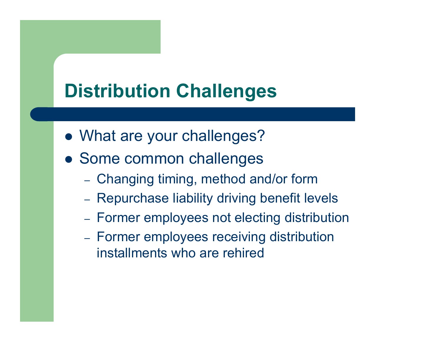### **Distribution Challenges**

- What are your challenges?
- Some common challenges
	- Changing timing, method and/or form
	- Repurchase liability driving benefit levels
	- Former employees not electing distribution
	- Former employees receiving distribution installments who are rehired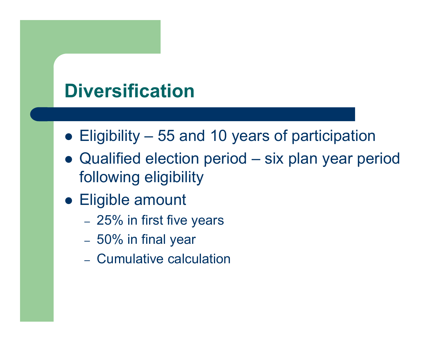#### **Diversification**

- Eligibility 55 and 10 years of participation
- Qualified election period six plan year period following eligibility
- Eligible amount
	- –25% in first five years
	- –50% in final year
	- Cumulative calculation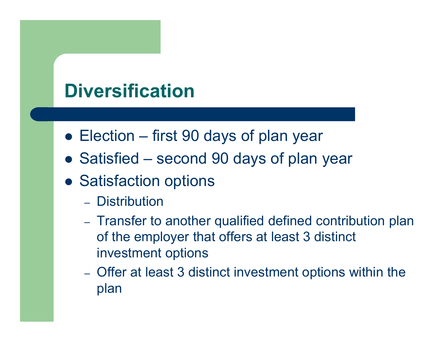#### **Diversification**

- Election first 90 days of plan year
- Satisfied second 90 days of plan year
- **Satisfaction options** 
	- Distribution
	- Transfer to another qualified defined contribution plan of the employer that offers at least 3 distinct investment options
	- Offer at least 3 distinct investment options within the plan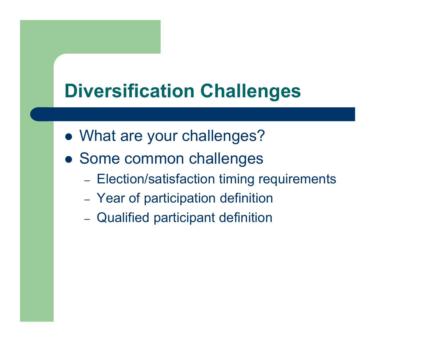### **Diversification Challenges**

- What are your challenges?
- Some common challenges
	- Election/satisfaction timing requirements
	- Year of participation definition
	- Qualified participant definition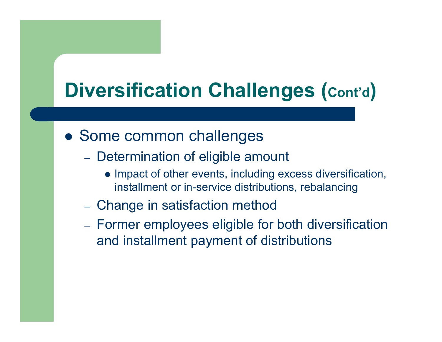# **Diversification Challenges (Cont'd )**

- Some common challenges
	- Determination of eligible amount
		- Impact of other events, including excess diversification, installment or in-service distributions, rebalancing
	- Change in satisfaction method
	- Former employees eligible for both diversification and installment payment of distributions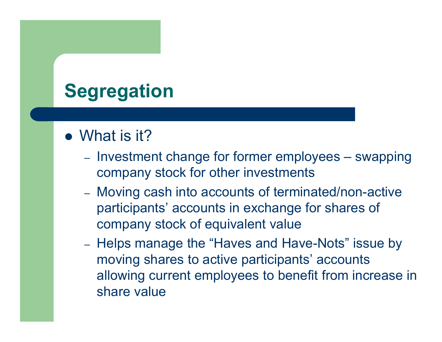## **Segregation**

- What is it?
	- Investment change for former employees swapping company stock for other investments
	- Moving cash into accounts of terminated/non-active participants' accounts in exchange for shares of company stock of equivalent value
	- –- Helps manage the "Haves and Have-Nots" issue by moving shares to active participants' accounts allowing current employees to benefit from increase in share value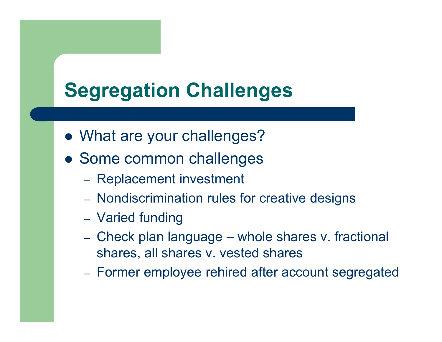# **Segregation Challenges**

- What are your challenges?
- Some common challenges
	- Replacement investment
	- Nondiscrimination rules for creative designs
	- Varied funding
	- Check plan language whole shares v. fractional shares, all shares v. vested shares
	- Former employee rehired after account segregated